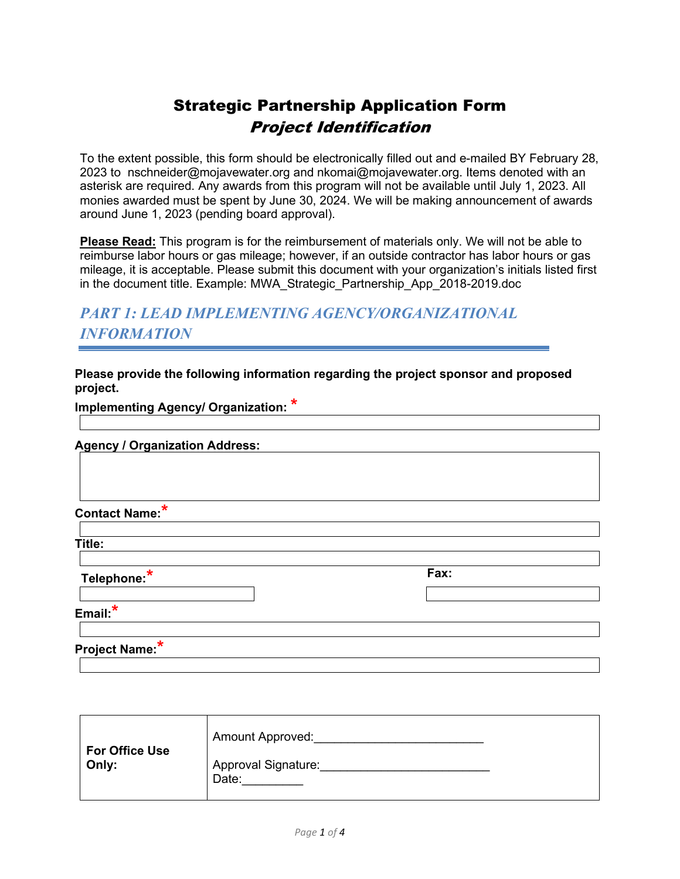# Strategic Partnership Application Form Project Identification

To the extent possible, this form should be electronically filled out and e-mailed BY February 28, 2023 to nschneider@mojavewater.org and nkomai@mojavewater.org. Items denoted with an asterisk are required. Any awards from this program will not be available until July 1, 2023. All monies awarded must be spent by June 30, 2024. We will be making announcement of awards around June 1, 2023 (pending board approval).

**Please Read:** This program is for the reimbursement of materials only. We will not be able to reimburse labor hours or gas mileage; however, if an outside contractor has labor hours or gas mileage, it is acceptable. Please submit this document with your organization's initials listed first in the document title. Example: MWA\_Strategic\_Partnership\_App\_2018-2019.doc

# *PART 1: LEAD IMPLEMENTING AGENCY/ORGANIZATIONAL INFORMATION*

**Please provide the following information regarding the project sponsor and proposed project.**

**Implementing Agency/ Organization: \***

#### **Agency / Organization Address:**

**Contact Name:\***

**Title:**

**Telephone:\* Fax:**

**Email:\***

**Project Name: \***

| <b>For Office Use</b><br>Only: | <b>Amount Approved:</b>             |
|--------------------------------|-------------------------------------|
|                                | <b>Approval Signature:</b><br>Date: |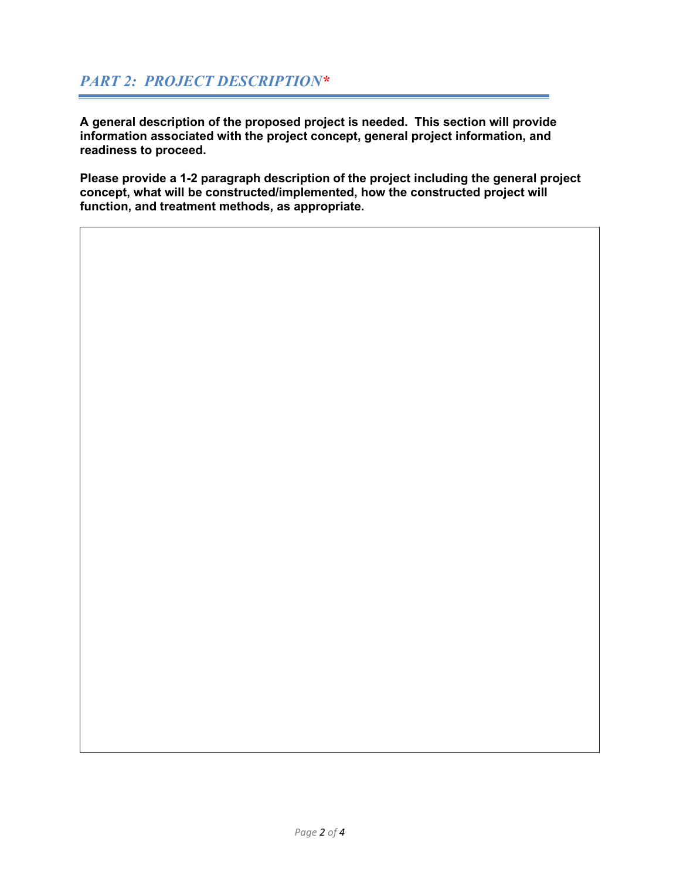**A general description of the proposed project is needed. This section will provide information associated with the project concept, general project information, and readiness to proceed.** 

**Please provide a 1-2 paragraph description of the project including the general project concept, what will be constructed/implemented, how the constructed project will function, and treatment methods, as appropriate.**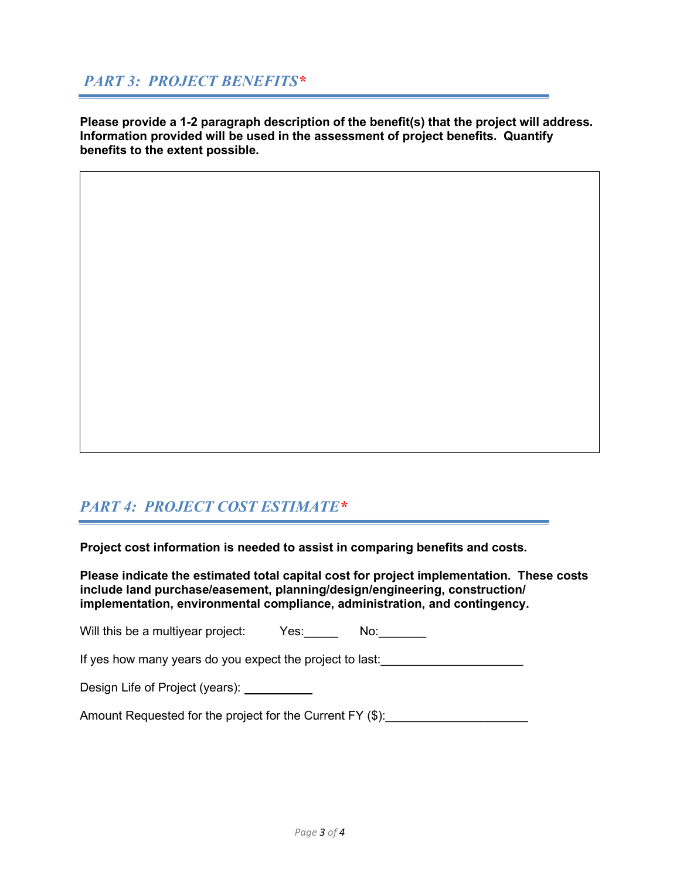### *PART 3: PROJECT BENEFITS\**

**Please provide a 1-2 paragraph description of the benefit(s) that the project will address. Information provided will be used in the assessment of project benefits. Quantify benefits to the extent possible.**

### *PART 4: PROJECT COST ESTIMATE\**

**Project cost information is needed to assist in comparing benefits and costs.** 

**Please indicate the estimated total capital cost for project implementation. These costs include land purchase/easement, planning/design/engineering, construction/ implementation, environmental compliance, administration, and contingency.**

| Will this be a multiyear project: | Yes: | No <sup>.</sup> |  |
|-----------------------------------|------|-----------------|--|
|                                   |      |                 |  |

If yes how many years do you expect the project to last:

Design Life of Project (years):

Amount Requested for the project for the Current FY (\$):